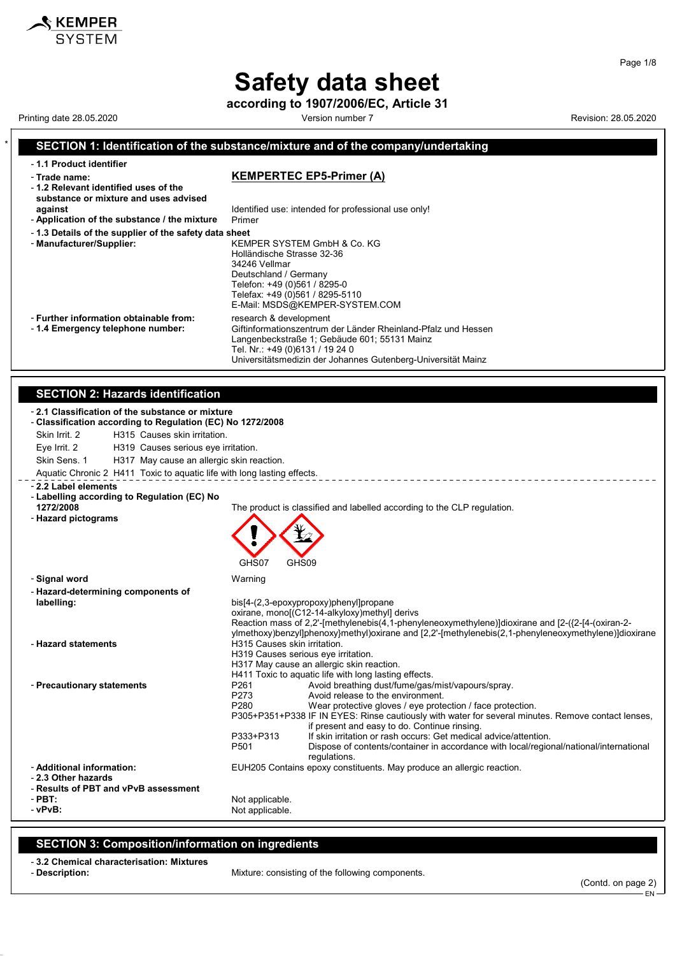# **Safety data sheet**

**according to 1907/2006/EC, Article 31**

Printing date 28.05.2020 **Version number 7** New Yors 28.05.2020 Revision: 28.05.2020

 $\boldsymbol{\hat{x}}$  KEMPER

#### \* **SECTION 1: Identification of the substance/mixture and of the company/undertaking** - **1.1 Product identifier** - **Trade name: KEMPERTEC EP5-Primer (A)** - **1.2 Relevant identified uses of the substance or mixture and uses advised against against Identified use: intended for professional use only!**<br>**Application of the substance / the mixture** Primer - Application of the substance / the mixture - **1.3 Details of the supplier of the safety data sheet** - **Manufacturer/Supplier:** KEMPER SYSTEM GmbH & Co. KG Holländische Strasse 32-36 34246 Vellmar Deutschland / Germany Telefon: +49 (0)561 / 8295-0 Telefax: +49 (0)561 / 8295-5110 E-Mail: MSDS@KEMPER-SYSTEM.COM - **Further information obtainable from:** research & development<br>- 1.4 **Emergency telephone number:** Giftinformationszentrum Giftinformationszentrum der Länder Rheinland-Pfalz und Hessen Langenbeckstraße 1; Gebäude 601; 55131 Mainz Tel. Nr.: +49 (0)6131 / 19 24 0 Universitätsmedizin der Johannes Gutenberg-Universität Mainz **SECTION 2: Hazards identification** - **2.1 Classification of the substance or mixture** - **Classification according to Regulation (EC) No 1272/2008** Skin Irrit. 2 H315 Causes skin irritation. Eye Irrit. 2 H319 Causes serious eye irritation. Skin Sens. 1 H317 May cause an allergic skin reaction. Aquatic Chronic 2 H411 Toxic to aquatic life with long lasting effects. \_\_\_\_\_\_\_\_\_\_\_\_\_\_\_\_\_\_\_\_\_\_ - **2.2 Label elements** - **Labelling according to Regulation (EC) No 1272/2008** The product is classified and labelled according to the CLP regulation. - **Hazard pictograms** GHS07 GHS09 - **Signal word** Warning - **Hazard-determining components of labelling:** bis[4-(2,3-epoxypropoxy)phenyl]propane oxirane, mono[(C12-14-alkyloxy)methyl] derivs Reaction mass of 2,2'-[methylenebis(4,1-phenyleneoxymethylene)]dioxirane and [2-({2-[4-(oxiran-2ylmethoxy)benzyl]phenoxy}methyl)oxirane and [2,2'-[methylenebis(2,1-phenyleneoxymethylene)]dioxirane - **Hazard statements H315 Causes skin irritation.** H319 Causes serious eye irritation. H317 May cause an allergic skin reaction. H411 Toxic to aquatic life with long lasting effects. - **Precautionary statements P261** Avoid breathing dust/fume/gas/mist/vapours/spray.<br>P273 Avoid release to the environment. Avoid release to the environment. P280 Wear protective gloves / eye protection / face protection. P305+P351+P338 IF IN EYES: Rinse cautiously with water for several minutes. Remove contact lenses, if present and easy to do. Continue rinsing. P333+P313 If skin irritation or rash occurs: Get medical advice/attention.<br>P501 Dispose of contents/container in accordance with local/region Dispose of contents/container in accordance with local/regional/national/international regulations. - **Additional information:** EUH205 Contains epoxy constituents. May produce an allergic reaction. - **2.3 Other hazards** - **Results of PBT and vPvB assessment** - **PBT:**<br>
- vPvR:<br>
- vPvR: Not applicable.

### **SECTION 3: Composition/information on ingredients**

- **3.2 Chemical characterisation: Mixtures**

Mixture: consisting of the following components.

(Contd. on page 2)

EN

Page 1/8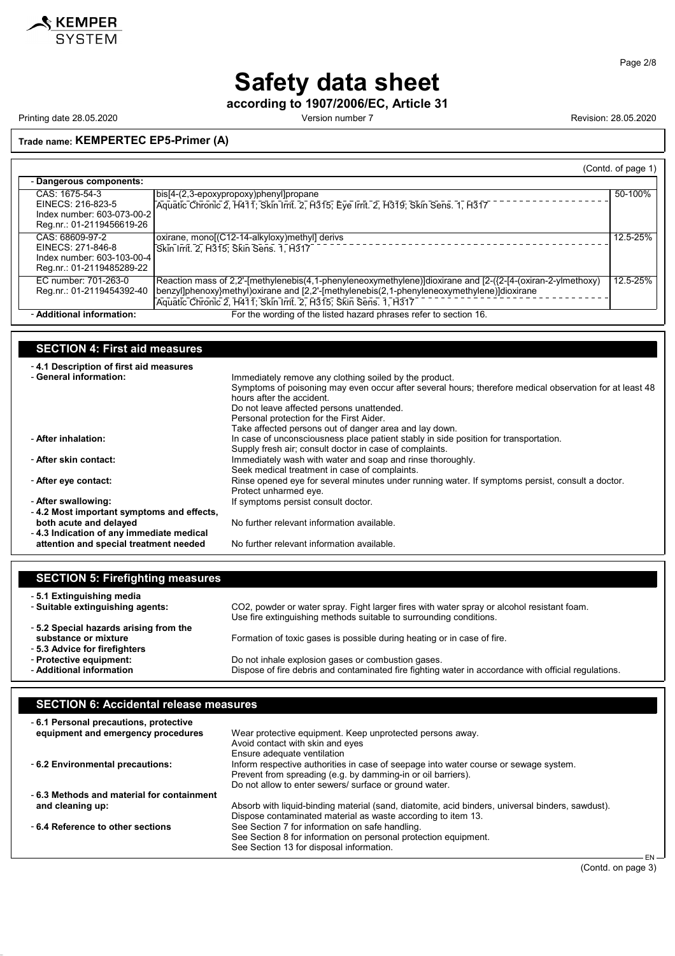

Page 2/8

# **Safety data sheet**

**according to 1907/2006/EC, Article 31**

Printing date 28.05.2020 **Printing date 28.05.2020** Version number 7 **Revision: 28.05.2020** 

## **Trade name: KEMPERTEC EP5-Primer (A)**

|                                                                                                 |                                                                                                                                                                                                                                                                                | (Contd. of page 1) |
|-------------------------------------------------------------------------------------------------|--------------------------------------------------------------------------------------------------------------------------------------------------------------------------------------------------------------------------------------------------------------------------------|--------------------|
| - Dangerous components:                                                                         |                                                                                                                                                                                                                                                                                |                    |
| CAS: 1675-54-3<br>EINECS: 216-823-5<br>Index number: 603-073-00-2<br>Reg.nr.: 01-2119456619-26  | bis[4-(2,3-epoxypropoxy)phenyl]propane<br>Aquatic Chronic 2, H411; Skin Irrit. 2, H315; Eye Irrit. 2, H319; Skin Sens. 1, H317                                                                                                                                                 | 50-100%            |
| CAS: 68609-97-2<br>EINECS: 271-846-8<br>Index number: 603-103-00-4<br>Reg.nr.: 01-2119485289-22 | oxirane, mono[(C12-14-alkyloxy)methyl] derivs<br>Skin Irrit. 2, H315; Skin Sens. 1, H317                                                                                                                                                                                       | 12.5-25%           |
| EC number: 701-263-0<br>Reg.nr.: 01-2119454392-40                                               | Reaction mass of 2,2'-[methylenebis(4,1-phenyleneoxymethylene)]dioxirane and [2-({2-[4-(oxiran-2-ylmethoxy)]<br>benzyl]phenoxy}methyl)oxirane and [2,2'-[methylenebis(2,1-phenyleneoxymethylene)]dioxirane<br>Aquatic Chronic 2, H411; Skin Irrit. 2, H315; Skin Sens. 1, H317 | 12.5-25%           |
| - Additional information:                                                                       | For the wording of the listed hazard phrases refer to section 16.                                                                                                                                                                                                              |                    |

## **SECTION 4: First aid measures**

| -4.1 Description of first aid measures    |                                                                                                         |
|-------------------------------------------|---------------------------------------------------------------------------------------------------------|
| - General information:                    | Immediately remove any clothing soiled by the product.                                                  |
|                                           | Symptoms of poisoning may even occur after several hours; therefore medical observation for at least 48 |
|                                           | hours after the accident                                                                                |
|                                           | Do not leave affected persons unattended.                                                               |
|                                           | Personal protection for the First Aider.                                                                |
|                                           | Take affected persons out of danger area and lay down.                                                  |
| - After inhalation:                       | In case of unconsciousness place patient stably in side position for transportation.                    |
|                                           | Supply fresh air; consult doctor in case of complaints.                                                 |
| - After skin contact:                     | Immediately wash with water and soap and rinse thoroughly.                                              |
|                                           | Seek medical treatment in case of complaints.                                                           |
| - After eye contact:                      | Rinse opened eye for several minutes under running water. If symptoms persist, consult a doctor.        |
|                                           | Protect unharmed eye.                                                                                   |
| - After swallowing:                       | If symptoms persist consult doctor.                                                                     |
| -4.2 Most important symptoms and effects, |                                                                                                         |
| both acute and delayed                    | No further relevant information available.                                                              |
| -4.3 Indication of any immediate medical  |                                                                                                         |
| attention and special treatment needed    | No further relevant information available.                                                              |
|                                           |                                                                                                         |

| <b>SECTION 5: Firefighting measures</b> |                                                                                                                                                                  |
|-----------------------------------------|------------------------------------------------------------------------------------------------------------------------------------------------------------------|
| - 5.1 Extinguishing media               |                                                                                                                                                                  |
| - Suitable extinguishing agents:        | CO2, powder or water spray. Fight larger fires with water spray or alcohol resistant foam.<br>Use fire extinguishing methods suitable to surrounding conditions. |
| -5.2 Special hazards arising from the   |                                                                                                                                                                  |
| substance or mixture                    | Formation of toxic gases is possible during heating or in case of fire.                                                                                          |
| - 5.3 Advice for firefighters           |                                                                                                                                                                  |
| - Protective equipment:                 | Do not inhale explosion gases or combustion gases.                                                                                                               |
| - Additional information                | Dispose of fire debris and contaminated fire fighting water in accordance with official regulations.                                                             |
|                                         |                                                                                                                                                                  |

## **SECTION 6: Accidental release measures**

| -6.1 Personal precautions, protective     |                                                                                                  |
|-------------------------------------------|--------------------------------------------------------------------------------------------------|
| equipment and emergency procedures        | Wear protective equipment. Keep unprotected persons away.                                        |
|                                           | Avoid contact with skin and eyes                                                                 |
|                                           | Ensure adequate ventilation                                                                      |
| - 6.2 Environmental precautions:          | Inform respective authorities in case of seepage into water course or sewage system.             |
|                                           | Prevent from spreading (e.g. by damming-in or oil barriers).                                     |
|                                           | Do not allow to enter sewers/ surface or ground water.                                           |
| -6.3 Methods and material for containment |                                                                                                  |
| and cleaning up:                          | Absorb with liquid-binding material (sand, diatomite, acid binders, universal binders, sawdust). |
|                                           | Dispose contaminated material as waste according to item 13.                                     |
| -6.4 Reference to other sections          | See Section 7 for information on safe handling.                                                  |
|                                           | See Section 8 for information on personal protection equipment.                                  |
|                                           | See Section 13 for disposal information.                                                         |
|                                           | EML                                                                                              |

EN (Contd. on page 3)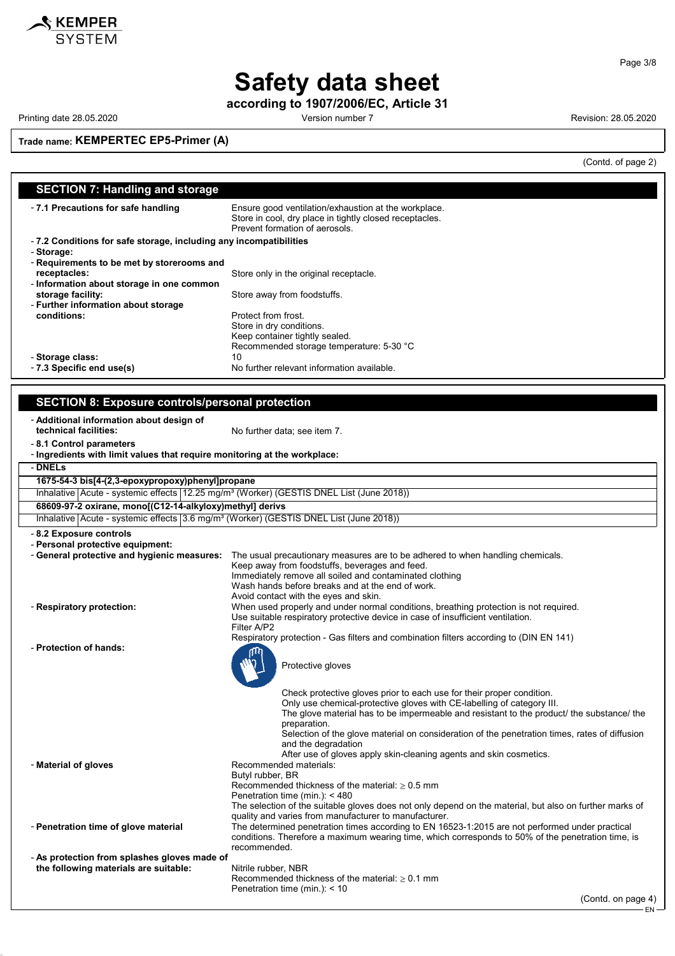

Page 3/8

# **Safety data sheet**

**according to 1907/2006/EC, Article 31**

Printing date 28.05.2020 **Printing date 28.05.2020** Version number 7 **Revision: 28.05.2020** 

**Trade name: KEMPERTEC EP5-Primer (A)**

(Contd. of page 2)

| <b>SECTION 7: Handling and storage</b>                                                              |                                                                                                                                                          |  |
|-----------------------------------------------------------------------------------------------------|----------------------------------------------------------------------------------------------------------------------------------------------------------|--|
|                                                                                                     |                                                                                                                                                          |  |
| - 7.1 Precautions for safe handling                                                                 | Ensure good ventilation/exhaustion at the workplace.                                                                                                     |  |
|                                                                                                     | Store in cool, dry place in tightly closed receptacles.                                                                                                  |  |
| Prevent formation of aerosols.                                                                      |                                                                                                                                                          |  |
| -7.2 Conditions for safe storage, including any incompatibilities                                   |                                                                                                                                                          |  |
| - Storage:                                                                                          |                                                                                                                                                          |  |
| - Requirements to be met by storerooms and                                                          |                                                                                                                                                          |  |
| receptacles:                                                                                        | Store only in the original receptacle.                                                                                                                   |  |
| - Information about storage in one common<br>storage facility:                                      |                                                                                                                                                          |  |
| - Further information about storage                                                                 | Store away from foodstuffs.                                                                                                                              |  |
| conditions:                                                                                         | Protect from frost.                                                                                                                                      |  |
|                                                                                                     | Store in dry conditions.                                                                                                                                 |  |
|                                                                                                     | Keep container tightly sealed.                                                                                                                           |  |
|                                                                                                     | Recommended storage temperature: 5-30 °C                                                                                                                 |  |
| - Storage class:                                                                                    | 10                                                                                                                                                       |  |
| - 7.3 Specific end use(s)                                                                           | No further relevant information available.                                                                                                               |  |
|                                                                                                     |                                                                                                                                                          |  |
|                                                                                                     |                                                                                                                                                          |  |
| <b>SECTION 8: Exposure controls/personal protection</b>                                             |                                                                                                                                                          |  |
| - Additional information about design of                                                            |                                                                                                                                                          |  |
| technical facilities:                                                                               | No further data; see item 7.                                                                                                                             |  |
| -8.1 Control parameters                                                                             |                                                                                                                                                          |  |
| - Ingredients with limit values that require monitoring at the workplace:                           |                                                                                                                                                          |  |
| - DNELs                                                                                             |                                                                                                                                                          |  |
|                                                                                                     |                                                                                                                                                          |  |
| 1675-54-3 bis[4-(2,3-epoxypropoxy)phenyl]propane                                                    |                                                                                                                                                          |  |
| Inhalative Acute - systemic effects 12.25 mg/m <sup>3</sup> (Worker) (GESTIS DNEL List (June 2018)) |                                                                                                                                                          |  |
| 68609-97-2 oxirane, mono[(C12-14-alkyloxy)methyl] derivs                                            |                                                                                                                                                          |  |
| Inhalative Acute - systemic effects 3.6 mg/m <sup>3</sup> (Worker) (GESTIS DNEL List (June 2018))   |                                                                                                                                                          |  |
| - 8.2 Exposure controls                                                                             |                                                                                                                                                          |  |
| - Personal protective equipment:                                                                    |                                                                                                                                                          |  |
| - General protective and hygienic measures:                                                         | The usual precautionary measures are to be adhered to when handling chemicals.                                                                           |  |
|                                                                                                     | Keep away from foodstuffs, beverages and feed.                                                                                                           |  |
|                                                                                                     | Immediately remove all soiled and contaminated clothing                                                                                                  |  |
|                                                                                                     | Wash hands before breaks and at the end of work.<br>Avoid contact with the eyes and skin.                                                                |  |
| - Respiratory protection:                                                                           | When used properly and under normal conditions, breathing protection is not required.                                                                    |  |
|                                                                                                     | Use suitable respiratory protective device in case of insufficient ventilation.                                                                          |  |
|                                                                                                     | Filter A/P2                                                                                                                                              |  |
|                                                                                                     | Respiratory protection - Gas filters and combination filters according to (DIN EN 141)                                                                   |  |
| - Protection of hands:                                                                              |                                                                                                                                                          |  |
|                                                                                                     | Protective gloves                                                                                                                                        |  |
|                                                                                                     |                                                                                                                                                          |  |
|                                                                                                     |                                                                                                                                                          |  |
|                                                                                                     | Check protective gloves prior to each use for their proper condition.                                                                                    |  |
|                                                                                                     | Only use chemical-protective gloves with CE-labelling of category III.                                                                                   |  |
|                                                                                                     | The glove material has to be impermeable and resistant to the product/ the substance/ the<br>preparation.                                                |  |
|                                                                                                     | Selection of the glove material on consideration of the penetration times, rates of diffusion                                                            |  |
|                                                                                                     | and the degradation                                                                                                                                      |  |
|                                                                                                     | After use of gloves apply skin-cleaning agents and skin cosmetics.                                                                                       |  |
| - Material of gloves                                                                                | Recommended materials:                                                                                                                                   |  |
|                                                                                                     | Butyl rubber, BR                                                                                                                                         |  |
|                                                                                                     | Recommended thickness of the material: $\geq 0.5$ mm                                                                                                     |  |
|                                                                                                     | Penetration time (min.): < 480                                                                                                                           |  |
|                                                                                                     | The selection of the suitable gloves does not only depend on the material, but also on further marks of                                                  |  |
| - Penetration time of glove material                                                                | quality and varies from manufacturer to manufacturer.<br>The determined penetration times according to EN 16523-1:2015 are not performed under practical |  |
|                                                                                                     | conditions. Therefore a maximum wearing time, which corresponds to 50% of the penetration time, is                                                       |  |
|                                                                                                     | recommended.                                                                                                                                             |  |
| - As protection from splashes gloves made of                                                        |                                                                                                                                                          |  |
| the following materials are suitable:                                                               | Nitrile rubber, NBR                                                                                                                                      |  |
|                                                                                                     | Recommended thickness of the material: $\geq 0.1$ mm                                                                                                     |  |
|                                                                                                     | Penetration time (min.): < 10                                                                                                                            |  |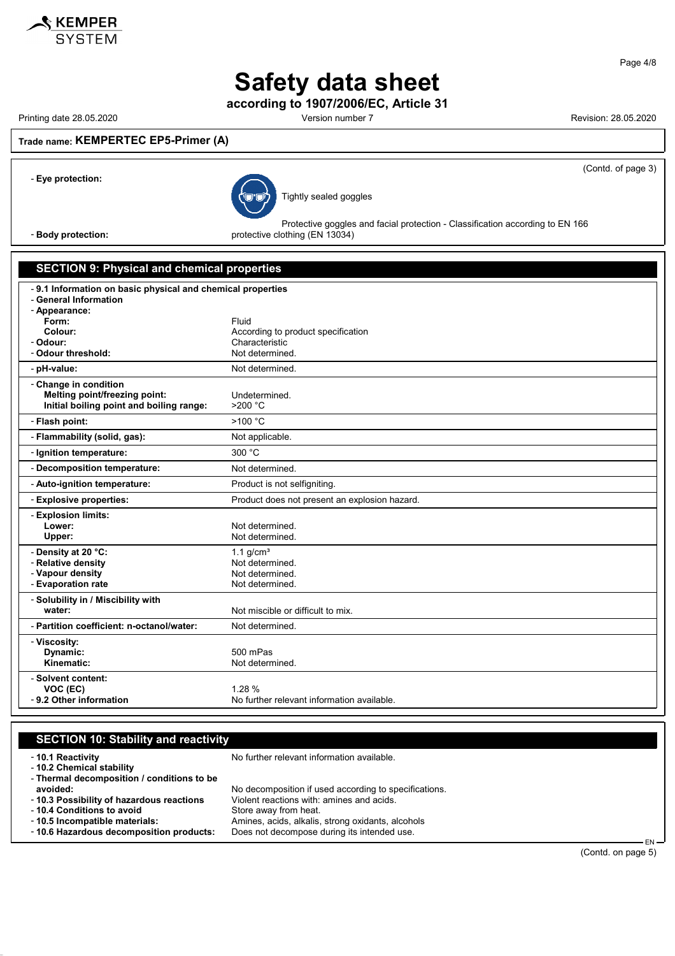

**Safety data sheet**

**according to 1907/2006/EC, Article 31**

Printing date 28.05.2020 Version number 7 Revision: 28.05.2020

(Contd. of page 3)

## **Trade name: KEMPERTEC EP5-Primer (A)**



Tightly sealed goggles

Protective goggles and facial protection - Classification according to EN 166 - **Body protection: protective clothing (EN 13034)** 

#### **SECTION 9: Physical and chemical properties**

| -9.1 Information on basic physical and chemical properties<br>- General Information |                                               |  |
|-------------------------------------------------------------------------------------|-----------------------------------------------|--|
| - Appearance:                                                                       |                                               |  |
| Form:                                                                               | Fluid                                         |  |
| Colour:                                                                             | According to product specification            |  |
| - Odour:                                                                            | Characteristic                                |  |
| - Odour threshold:                                                                  | Not determined.                               |  |
| - pH-value:                                                                         | Not determined.                               |  |
| - Change in condition                                                               |                                               |  |
| Melting point/freezing point:                                                       | Undetermined.                                 |  |
| Initial boiling point and boiling range:                                            | $>200$ °C                                     |  |
| - Flash point:                                                                      | >100 °C                                       |  |
| - Flammability (solid, gas):                                                        | Not applicable.                               |  |
| - Ignition temperature:                                                             | 300 °C                                        |  |
| - Decomposition temperature:                                                        | Not determined.                               |  |
| - Auto-ignition temperature:                                                        | Product is not selfigniting.                  |  |
|                                                                                     |                                               |  |
| - Explosive properties:                                                             | Product does not present an explosion hazard. |  |
| - Explosion limits:                                                                 |                                               |  |
| Lower:                                                                              | Not determined.                               |  |
| Upper:                                                                              | Not determined.                               |  |
| - Density at 20 °C:                                                                 | 1.1 $g/cm3$                                   |  |
| - Relative density                                                                  | Not determined.                               |  |
| - Vapour density                                                                    | Not determined.                               |  |
| - Evaporation rate                                                                  | Not determined.                               |  |
| - Solubility in / Miscibility with                                                  |                                               |  |
| water:                                                                              | Not miscible or difficult to mix.             |  |
| - Partition coefficient: n-octanol/water:                                           | Not determined.                               |  |
| - Viscosity:                                                                        |                                               |  |
| Dynamic:                                                                            | 500 mPas                                      |  |
| Kinematic:                                                                          | Not determined.                               |  |
| - Solvent content:                                                                  |                                               |  |
| VOC (EC)<br>- 9.2 Other information                                                 | 1.28 %                                        |  |

| <b>SECTION 10: Stability and reactivity</b>                                                 |                                                                                                                             |
|---------------------------------------------------------------------------------------------|-----------------------------------------------------------------------------------------------------------------------------|
| -10.1 Reactivity<br>- 10.2 Chemical stability<br>- Thermal decomposition / conditions to be | No further relevant information available.                                                                                  |
| avoided:<br>- 10.3 Possibility of hazardous reactions<br>-10.4 Conditions to avoid          | No decomposition if used according to specifications.<br>Violent reactions with: amines and acids.<br>Store away from heat. |
| -10.5 Incompatible materials:<br>- 10.6 Hazardous decomposition products:                   | Amines, acids, alkalis, strong oxidants, alcohols<br>Does not decompose during its intended use.<br>FN —                    |

EN (Contd. on page 5)

Page 4/8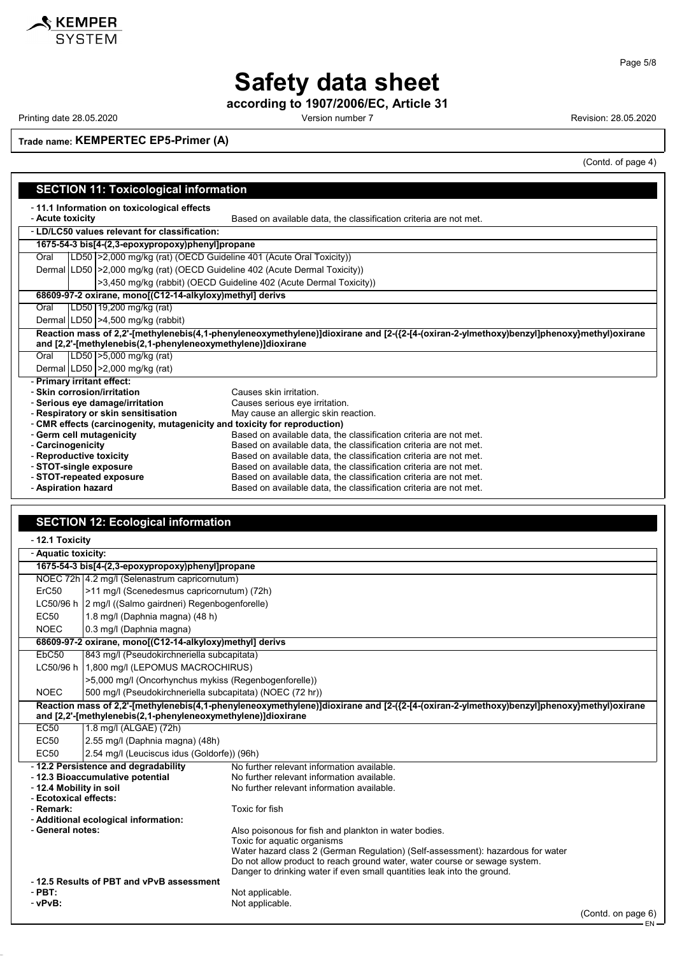

## **Safety data sheet**

**according to 1907/2006/EC, Article 31**

Printing date 28.05.2020 **Printing date 28.05.2020** Version number 7 **Revision: 28.05.2020** 

**Trade name: KEMPERTEC EP5-Primer (A)**

**SECTION 11: Toxicological information**

(Contd. of page 4)

| <b>SECTION TT. TOXICOIOGICAL IMPORTATION</b>                                |                                                                                                                                     |                                                              |                                                                                                                                          |
|-----------------------------------------------------------------------------|-------------------------------------------------------------------------------------------------------------------------------------|--------------------------------------------------------------|------------------------------------------------------------------------------------------------------------------------------------------|
|                                                                             | -11.1 Information on toxicological effects<br>Based on available data, the classification criteria are not met.<br>- Acute toxicity |                                                              |                                                                                                                                          |
|                                                                             | - LD/LC50 values relevant for classification:                                                                                       |                                                              |                                                                                                                                          |
|                                                                             |                                                                                                                                     |                                                              |                                                                                                                                          |
|                                                                             | 1675-54-3 bis[4-(2,3-epoxypropoxy)phenyl]propane                                                                                    |                                                              |                                                                                                                                          |
| Oral                                                                        |                                                                                                                                     |                                                              | LD50   > 2,000 mg/kg (rat) (OECD Guideline 401 (Acute Oral Toxicity))                                                                    |
|                                                                             |                                                                                                                                     |                                                              | Dermal LD50   > 2,000 mg/kg (rat) (OECD Guideline 402 (Acute Dermal Toxicity))                                                           |
|                                                                             |                                                                                                                                     |                                                              | >3,450 mg/kg (rabbit) (OECD Guideline 402 (Acute Dermal Toxicity))                                                                       |
|                                                                             |                                                                                                                                     | 68609-97-2 oxirane, mono[(C12-14-alkyloxy)methyl] derivs     |                                                                                                                                          |
| Oral                                                                        |                                                                                                                                     | LD50   19,200 mg/kg (rat)                                    |                                                                                                                                          |
|                                                                             |                                                                                                                                     | Dermal LD50   > 4,500 mg/kg (rabbit)                         |                                                                                                                                          |
|                                                                             |                                                                                                                                     |                                                              | Reaction mass of 2,2'-[methylenebis(4,1-phenyleneoxymethylene)]dioxirane and [2-({2-[4-(oxiran-2-ylmethoxy)benzyl]phenoxy}methyl)oxirane |
|                                                                             |                                                                                                                                     | and [2,2'-[methylenebis(2,1-phenyleneoxymethylene)]dioxirane |                                                                                                                                          |
| Oral                                                                        |                                                                                                                                     | LD50   > 5,000 mg/kg (rat)                                   |                                                                                                                                          |
|                                                                             |                                                                                                                                     | Dermal   LD50   > 2,000 mg/kg (rat)                          |                                                                                                                                          |
| - Primary irritant effect:                                                  |                                                                                                                                     |                                                              |                                                                                                                                          |
|                                                                             |                                                                                                                                     | - Skin corrosion/irritation                                  | Causes skin irritation.                                                                                                                  |
|                                                                             |                                                                                                                                     | - Serious eye damage/irritation                              | Causes serious eye irritation.                                                                                                           |
| - Respiratory or skin sensitisation<br>May cause an allergic skin reaction. |                                                                                                                                     |                                                              |                                                                                                                                          |
| - CMR effects (carcinogenity, mutagenicity and toxicity for reproduction)   |                                                                                                                                     |                                                              |                                                                                                                                          |
|                                                                             |                                                                                                                                     | - Germ cell mutagenicity                                     | Based on available data, the classification criteria are not met.                                                                        |
| - Carcinogenicity                                                           |                                                                                                                                     |                                                              | Based on available data, the classification criteria are not met.                                                                        |
| - Reproductive toxicity                                                     |                                                                                                                                     |                                                              | Based on available data, the classification criteria are not met.                                                                        |
| - STOT-single exposure                                                      |                                                                                                                                     |                                                              | Based on available data, the classification criteria are not met.                                                                        |
|                                                                             |                                                                                                                                     | - STOT-repeated exposure                                     | Based on available data, the classification criteria are not met.                                                                        |
| - Aspiration hazard                                                         |                                                                                                                                     |                                                              | Based on available data, the classification criteria are not met.                                                                        |

| <b>SECTION 12: Ecological information</b> |  |
|-------------------------------------------|--|
|-------------------------------------------|--|

| - 12.1 Toxicity                                      |                                                              |                                                                                                                                          |                    |  |
|------------------------------------------------------|--------------------------------------------------------------|------------------------------------------------------------------------------------------------------------------------------------------|--------------------|--|
| - Aquatic toxicity:                                  |                                                              |                                                                                                                                          |                    |  |
|                                                      | 1675-54-3 bis[4-(2,3-epoxypropoxy)phenyl]propane             |                                                                                                                                          |                    |  |
|                                                      | NOEC 72h 4.2 mg/l (Selenastrum capricornutum)                |                                                                                                                                          |                    |  |
| ErC <sub>50</sub>                                    |                                                              | >11 mg/l (Scenedesmus capricornutum) (72h)                                                                                               |                    |  |
| LC50/96 h                                            | 2 mg/l ((Salmo gairdneri) Regenbogenforelle)                 |                                                                                                                                          |                    |  |
| <b>EC50</b>                                          | 1.8 mg/l (Daphnia magna) (48 h)                              |                                                                                                                                          |                    |  |
| <b>NOEC</b>                                          | 0.3 mg/l (Daphnia magna)                                     |                                                                                                                                          |                    |  |
|                                                      | 68609-97-2 oxirane, mono[(C12-14-alkyloxy)methyl] derivs     |                                                                                                                                          |                    |  |
| EbC <sub>50</sub>                                    | 843 mg/l (Pseudokirchneriella subcapitata)                   |                                                                                                                                          |                    |  |
|                                                      | LC50/96 h   1,800 mg/l (LEPOMUS MACROCHIRUS)                 |                                                                                                                                          |                    |  |
|                                                      | >5,000 mg/l (Oncorhynchus mykiss (Regenbogenforelle))        |                                                                                                                                          |                    |  |
| <b>NOEC</b>                                          | 500 mg/l (Pseudokirchneriella subcapitata) (NOEC (72 hr))    |                                                                                                                                          |                    |  |
|                                                      |                                                              | Reaction mass of 2,2'-[methylenebis(4,1-phenyleneoxymethylene)]dioxirane and [2-({2-[4-(oxiran-2-ylmethoxy)benzyl]phenoxy}methyl)oxirane |                    |  |
|                                                      | and [2,2'-[methylenebis(2,1-phenyleneoxymethylene)]dioxirane |                                                                                                                                          |                    |  |
| EC50                                                 | 1.8 mg/l (ALGAE) (72h)                                       |                                                                                                                                          |                    |  |
| <b>EC50</b>                                          | 2.55 mg/l (Daphnia magna) (48h)                              |                                                                                                                                          |                    |  |
| <b>EC50</b>                                          | 2.54 mg/l (Leuciscus idus (Goldorfe)) (96h)                  |                                                                                                                                          |                    |  |
|                                                      | - 12.2 Persistence and degradability                         | No further relevant information available.                                                                                               |                    |  |
|                                                      | - 12.3 Bioaccumulative potential                             | No further relevant information available.                                                                                               |                    |  |
| - 12.4 Mobility in soil<br>- Ecotoxical effects:     |                                                              | No further relevant information available.                                                                                               |                    |  |
| - Remark:                                            |                                                              | Toxic for fish                                                                                                                           |                    |  |
|                                                      | - Additional ecological information:                         |                                                                                                                                          |                    |  |
| - General notes:                                     |                                                              | Also poisonous for fish and plankton in water bodies.                                                                                    |                    |  |
|                                                      |                                                              | Toxic for aquatic organisms                                                                                                              |                    |  |
|                                                      |                                                              | Water hazard class 2 (German Regulation) (Self-assessment): hazardous for water                                                          |                    |  |
|                                                      |                                                              | Do not allow product to reach ground water, water course or sewage system.                                                               |                    |  |
|                                                      |                                                              | Danger to drinking water if even small quantities leak into the ground.                                                                  |                    |  |
| -12.5 Results of PBT and vPvB assessment<br>$-$ PBT: |                                                              | Not applicable.                                                                                                                          |                    |  |
| - vPvB:                                              |                                                              | Not applicable.                                                                                                                          |                    |  |
|                                                      |                                                              |                                                                                                                                          | (Contd. on page 6) |  |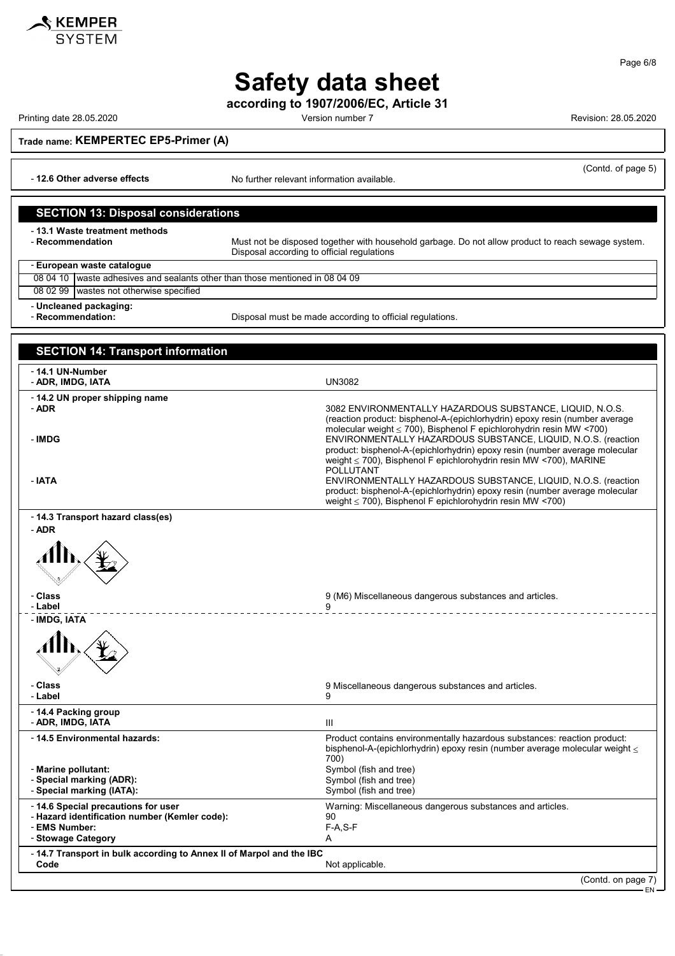

**according to 1907/2006/EC, Article 31**

Printing date 28.05.2020 **Version number 7** Accounts 28.05.2020 **Revision: 28.05.2020** Printing date 28.05.2020

**SKEMPER** 

Page 6/8

**Trade name: KEMPERTEC EP5-Primer (A)**

- **12.6 Other adverse effects** No further relevant information available.

#### (Contd. of page 5)

#### **SECTION 13: Disposal considerations**

- **13.1 Waste treatment methods**

Must not be disposed together with household garbage. Do not allow product to reach sewage system. Disposal according to official regulations

#### - **European waste catalogue**

| 08 04 10 waste adhesives and sealants other than those mentioned in 08 04 09 |
|------------------------------------------------------------------------------|
| 08 02 99 wastes not otherwise specified                                      |
| - Uncleaned packaging:                                                       |

- **Recommendation:** Disposal must be made according to official regulations.

## **SECTION 14: Transport information** - **14.1 UN-Number** - **ADR, IMDG, IATA** UN3082 - **14.2 UN proper shipping name** - **ADR** 3082 ENVIRONMENTALLY HAZARDOUS SUBSTANCE, LIQUID, N.O.S. (reaction product: bisphenol-A-(epichlorhydrin) epoxy resin (number average molecular weight ≤ 700), Bisphenol F epichlorohydrin resin MW <700) - **IMDG** ENVIRONMENTALLY HAZARDOUS SUBSTANCE, LIQUID, N.O.S. (reaction product: bisphenol-A-(epichlorhydrin) epoxy resin (number average molecular weight ≤ 700), Bisphenol F epichlorohydrin resin MW <700), MARINE POLLUTANT - **IATA** ENVIRONMENTALLY HAZARDOUS SUBSTANCE, LIQUID, N.O.S. (reaction product: bisphenol-A-(epichlorhydrin) epoxy resin (number average molecular weight ≤ 700), Bisphenol F epichlorohydrin resin MW <700) - **14.3 Transport hazard class(es)** - **ADR** - **Class** 9 (M6) Miscellaneous dangerous substances and articles. - **Label** 9 \_\_\_\_\_\_\_\_\_\_\_\_\_\_\_\_\_\_\_\_\_\_\_\_\_\_\_\_ - **IMDG, IATA** - **Class** 9 Miscellaneous dangerous substances and articles. - **Label** 9 - **14.4 Packing group** - **ADR, IMDG, IATA** III - **14.5 Environmental hazards:** Product contains environmentally hazardous substances: reaction product: bisphenol-A-(epichlorhydrin) epoxy resin (number average molecular weight  $\leq$ 700) - **Marine pollutant:**<br>
- **Special marking (ADR):**<br>
Symbol (fish and tree)<br>
Symbol (fish and tree) - **Special marking (ADR):**<br>
- **Special marking (IATA):** Symbol (fish and tree) - Special marking (IATA): - Special marking (IATA): - **14.6 Special precautions for user** Warning: Miscellaneous dangerous substances and articles. - **Hazard identification number (Kemler code):** 90 - **EMS Number:** F-A,S-F-A,S-F-A,S-F-A,S-F-A,S-F-A,S-F-A,S-F-A,S-F-A,S-F-A,S-F-A,S-F-A,S-F-A,S-F-A,S-F-A,S-F-A,S-F-A,S-F-A,S-F-A,S-F-A,S-F-A,S-F-A,S-F-A,S-F-A,S-F-A,S-F-A,S-F-A,S-F-A,S-F-A,S-F-A,S-F-A,S-F-A,S-F-A,S-F-A,S-F-- Stowage Category - **14.7 Transport in bulk according to Annex II of Marpol and the IBC** Not applicable.

(Contd. on page 7)

EN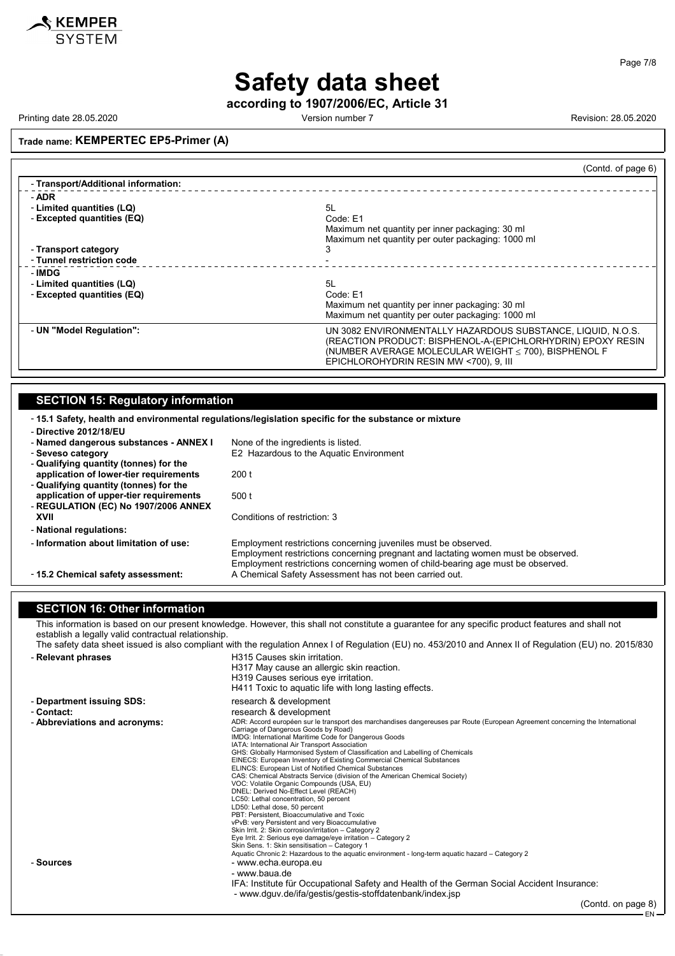

Page 7/8

# **Safety data sheet**

**according to 1907/2006/EC, Article 31**

Printing date 28.05.2020 Version number 7 Revision: 28.05.2020

## **Trade name: KEMPERTEC EP5-Primer (A)**

|                                     | (Contd. of page 6)                                                                                                                                                                      |
|-------------------------------------|-----------------------------------------------------------------------------------------------------------------------------------------------------------------------------------------|
| - Transport/Additional information: |                                                                                                                                                                                         |
| - ADR                               |                                                                                                                                                                                         |
| - Limited quantities (LQ)           | 5L                                                                                                                                                                                      |
| - Excepted quantities (EQ)          | Code: E1                                                                                                                                                                                |
|                                     | Maximum net quantity per inner packaging: 30 ml                                                                                                                                         |
|                                     | Maximum net quantity per outer packaging: 1000 ml                                                                                                                                       |
| - Transport category                | З                                                                                                                                                                                       |
| - Tunnel restriction code           |                                                                                                                                                                                         |
| - IMDG                              |                                                                                                                                                                                         |
| - Limited quantities (LQ)           | .5L                                                                                                                                                                                     |
| - Excepted quantities (EQ)          | Code: E1                                                                                                                                                                                |
|                                     | Maximum net quantity per inner packaging: 30 ml                                                                                                                                         |
|                                     | Maximum net quantity per outer packaging: 1000 ml                                                                                                                                       |
| - UN "Model Regulation":            | UN 3082 ENVIRONMENTALLY HAZARDOUS SUBSTANCE, LIQUID, N.O.S.<br>(REACTION PRODUCT: BISPHENOL-A-(EPICHLORHYDRIN) EPOXY RESIN<br>(NUMBER AVERAGE MOLECULAR WEIGHT $\leq$ 700), BISPHENOL F |
|                                     | EPICHLOROHYDRIN RESIN MW <700), 9, III                                                                                                                                                  |

## **SECTION 15: Regulatory information**

| -15.1 Safety, health and environmental regulations/legislation specific for the substance or mixture<br>- Directive 2012/18/EU |                                                                                                                                                                                                                                        |  |
|--------------------------------------------------------------------------------------------------------------------------------|----------------------------------------------------------------------------------------------------------------------------------------------------------------------------------------------------------------------------------------|--|
| - Named dangerous substances - ANNEX I                                                                                         | None of the ingredients is listed.                                                                                                                                                                                                     |  |
| - Seveso category                                                                                                              | E2 Hazardous to the Aquatic Environment                                                                                                                                                                                                |  |
| - Qualifying quantity (tonnes) for the                                                                                         |                                                                                                                                                                                                                                        |  |
| application of lower-tier requirements                                                                                         | 200 t                                                                                                                                                                                                                                  |  |
| - Qualifying quantity (tonnes) for the                                                                                         |                                                                                                                                                                                                                                        |  |
| application of upper-tier requirements                                                                                         | 500 t                                                                                                                                                                                                                                  |  |
| - REGULATION (EC) No 1907/2006 ANNEX                                                                                           |                                                                                                                                                                                                                                        |  |
| XVII                                                                                                                           | Conditions of restriction: 3                                                                                                                                                                                                           |  |
| - National regulations:                                                                                                        |                                                                                                                                                                                                                                        |  |
| - Information about limitation of use:                                                                                         | Employment restrictions concerning juveniles must be observed.<br>Employment restrictions concerning pregnant and lactating women must be observed.<br>Employment restrictions concerning women of child-bearing age must be observed. |  |
| - 15.2 Chemical safety assessment:                                                                                             | A Chemical Safety Assessment has not been carried out.                                                                                                                                                                                 |  |

#### **SECTION 16: Other information**

This information is based on our present knowledge. However, this shall not constitute a guarantee for any specific product features and shall not establish a legally valid contractual relationship.

| The safety data sheet issued is also compliant with the regulation Annex I of Regulation (EU) no. 453/2010 and Annex II of Regulation (EU) no. 2015/830 |                                                                                                                                                                                                                                                                                                                                                                                                                                                                                                                                                                                                                                                                                                                                                                                                                                                                                                                                                                                                                                                                                                                                |
|---------------------------------------------------------------------------------------------------------------------------------------------------------|--------------------------------------------------------------------------------------------------------------------------------------------------------------------------------------------------------------------------------------------------------------------------------------------------------------------------------------------------------------------------------------------------------------------------------------------------------------------------------------------------------------------------------------------------------------------------------------------------------------------------------------------------------------------------------------------------------------------------------------------------------------------------------------------------------------------------------------------------------------------------------------------------------------------------------------------------------------------------------------------------------------------------------------------------------------------------------------------------------------------------------|
| - Relevant phrases                                                                                                                                      | H315 Causes skin irritation.<br>H317 May cause an allergic skin reaction.<br>H319 Causes serious eye irritation.<br>H411 Toxic to aquatic life with long lasting effects.                                                                                                                                                                                                                                                                                                                                                                                                                                                                                                                                                                                                                                                                                                                                                                                                                                                                                                                                                      |
| - Department issuing SDS:                                                                                                                               | research & development                                                                                                                                                                                                                                                                                                                                                                                                                                                                                                                                                                                                                                                                                                                                                                                                                                                                                                                                                                                                                                                                                                         |
| - Contact:                                                                                                                                              | research & development                                                                                                                                                                                                                                                                                                                                                                                                                                                                                                                                                                                                                                                                                                                                                                                                                                                                                                                                                                                                                                                                                                         |
| - Abbreviations and acronyms:                                                                                                                           | ADR: Accord européen sur le transport des marchandises dangereuses par Route (European Agreement concerning the International<br>Carriage of Dangerous Goods by Road)<br>IMDG: International Maritime Code for Dangerous Goods<br>IATA: International Air Transport Association<br>GHS: Globally Harmonised System of Classification and Labelling of Chemicals<br>EINECS: European Inventory of Existing Commercial Chemical Substances<br>ELINCS: European List of Notified Chemical Substances<br>CAS: Chemical Abstracts Service (division of the American Chemical Society)<br>VOC: Volatile Organic Compounds (USA, EU)<br>DNEL: Derived No-Effect Level (REACH)<br>LC50: Lethal concentration, 50 percent<br>LD50: Lethal dose, 50 percent<br>PBT: Persistent, Bioaccumulative and Toxic<br>vPvB: very Persistent and very Bioaccumulative<br>Skin Irrit. 2: Skin corrosion/irritation - Category 2<br>Eye Irrit. 2: Serious eye damage/eye irritation - Category 2<br>Skin Sens. 1: Skin sensitisation - Category 1<br>Aquatic Chronic 2: Hazardous to the aquatic environment - long-term aquatic hazard - Category 2 |
| - Sources                                                                                                                                               | - www.echa.europa.eu                                                                                                                                                                                                                                                                                                                                                                                                                                                                                                                                                                                                                                                                                                                                                                                                                                                                                                                                                                                                                                                                                                           |
|                                                                                                                                                         | - www.baua.de                                                                                                                                                                                                                                                                                                                                                                                                                                                                                                                                                                                                                                                                                                                                                                                                                                                                                                                                                                                                                                                                                                                  |
|                                                                                                                                                         | IFA: Institute für Occupational Safety and Health of the German Social Accident Insurance:<br>- www.dquv.de/ifa/gestis/gestis-stoffdatenbank/index.jsp                                                                                                                                                                                                                                                                                                                                                                                                                                                                                                                                                                                                                                                                                                                                                                                                                                                                                                                                                                         |
|                                                                                                                                                         | $\sim$ $\sim$ $\sim$                                                                                                                                                                                                                                                                                                                                                                                                                                                                                                                                                                                                                                                                                                                                                                                                                                                                                                                                                                                                                                                                                                           |